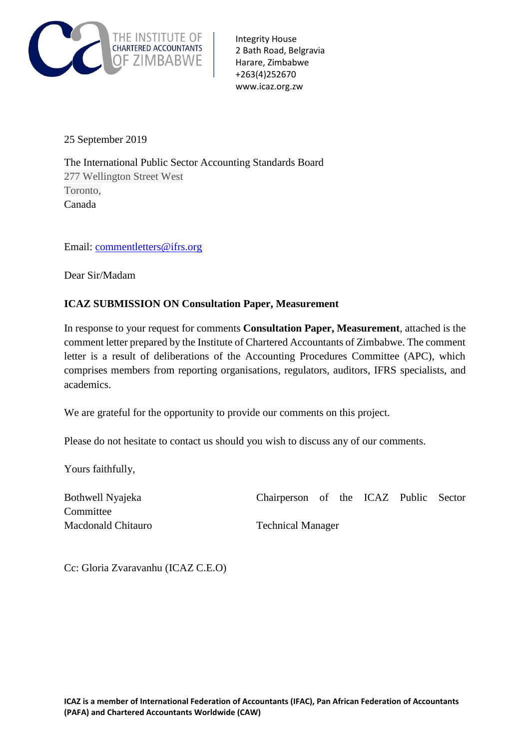

Integrity House 2 Bath Road, Belgravia Harare, Zimbabwe +263(4)252670 www.icaz.org.zw

25 September 2019

The International Public Sector Accounting Standards Board H277 Wellington Street West Toronto, Canada

Email: [commentletters@ifrs.org](mailto:commentletters@ifrs.org)

Dear Sir/Madam

## **ICAZ SUBMISSION ON Consultation Paper, Measurement**

In response to your request for comments **Consultation Paper, Measurement***,* attached is the comment letter prepared by the Institute of Chartered Accountants of Zimbabwe. The comment letter is a result of deliberations of the Accounting Procedures Committee (APC), which comprises members from reporting organisations, regulators, auditors, IFRS specialists, and academics.

We are grateful for the opportunity to provide our comments on this project.

Please do not hesitate to contact us should you wish to discuss any of our comments.

Yours faithfully,

Bothwell Nyajeka Chairperson of the ICAZ Public Sector Committee Macdonald Chitauro Technical Manager

Cc: Gloria Zvaravanhu (ICAZ C.E.O)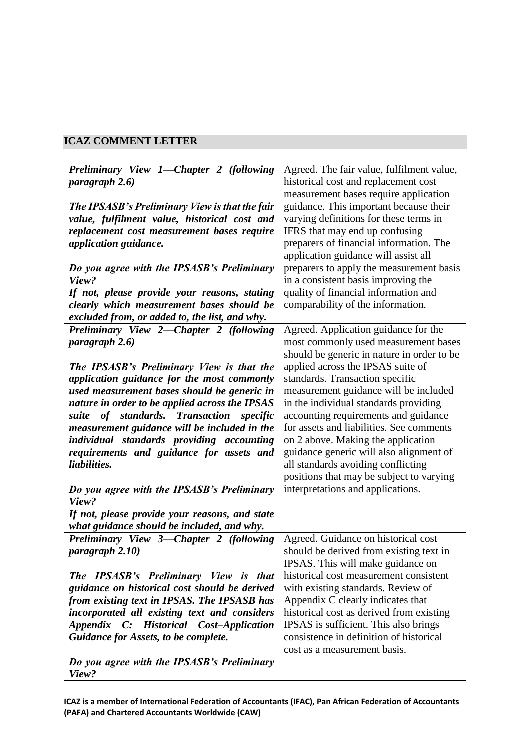## **ICAZ COMMENT LETTER**

| Preliminary View 1—Chapter 2 (following        | Agreed. The fair value, fulfilment value,  |
|------------------------------------------------|--------------------------------------------|
| paragraph 2.6)                                 | historical cost and replacement cost       |
|                                                | measurement bases require application      |
| The IPSASB's Preliminary View is that the fair | guidance. This important because their     |
|                                                |                                            |
| value, fulfilment value, historical cost and   | varying definitions for these terms in     |
| replacement cost measurement bases require     | IFRS that may end up confusing             |
| application guidance.                          | preparers of financial information. The    |
|                                                | application guidance will assist all       |
| Do you agree with the IPSASB's Preliminary     | preparers to apply the measurement basis   |
| View?                                          | in a consistent basis improving the        |
| If not, please provide your reasons, stating   | quality of financial information and       |
| clearly which measurement bases should be      | comparability of the information.          |
| excluded from, or added to, the list, and why. |                                            |
|                                                |                                            |
| Preliminary View 2-Chapter 2 (following        | Agreed. Application guidance for the       |
| paragraph 2.6)                                 | most commonly used measurement bases       |
|                                                | should be generic in nature in order to be |
| The IPSASB's Preliminary View is that the      | applied across the IPSAS suite of          |
| application guidance for the most commonly     | standards. Transaction specific            |
| used measurement bases should be generic in    | measurement guidance will be included      |
| nature in order to be applied across the IPSAS | in the individual standards providing      |
| suite of standards. Transaction specific       | accounting requirements and guidance       |
| measurement guidance will be included in the   | for assets and liabilities. See comments   |
| individual standards providing accounting      | on 2 above. Making the application         |
| requirements and guidance for assets and       | guidance generic will also alignment of    |
|                                                |                                            |
| liabilities.                                   | all standards avoiding conflicting         |
|                                                | positions that may be subject to varying   |
| Do you agree with the IPSASB's Preliminary     | interpretations and applications.          |
| View?                                          |                                            |
| If not, please provide your reasons, and state |                                            |
| what guidance should be included, and why.     |                                            |
| Preliminary View 3-Chapter 2 (following        | Agreed. Guidance on historical cost        |
| paragraph 2.10)                                | should be derived from existing text in    |
|                                                | IPSAS. This will make guidance on          |
| The IPSASB's Preliminary View is that          | historical cost measurement consistent     |
| guidance on historical cost should be derived  | with existing standards. Review of         |
| from existing text in IPSAS. The IPSASB has    | Appendix C clearly indicates that          |
|                                                |                                            |
| incorporated all existing text and considers   | historical cost as derived from existing   |
| Appendix C: Historical Cost-Application        | IPSAS is sufficient. This also brings      |
| Guidance for Assets, to be complete.           | consistence in definition of historical    |
|                                                | cost as a measurement basis.               |
| Do you agree with the IPSASB's Preliminary     |                                            |
| View?                                          |                                            |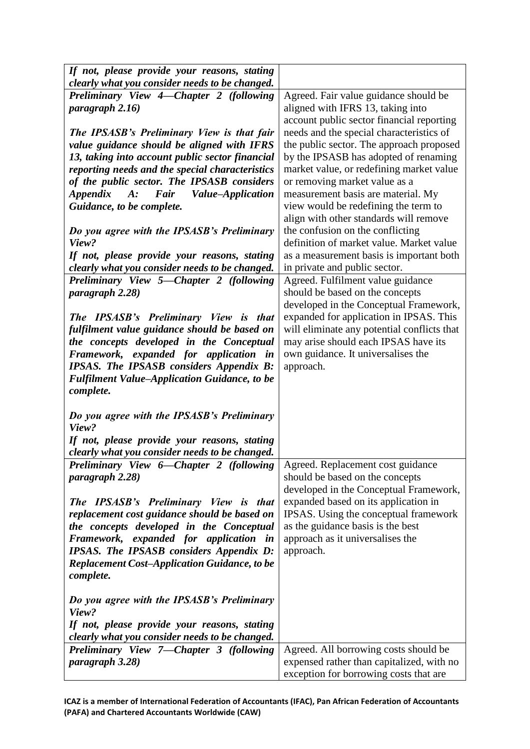| If not, please provide your reasons, stating                                                   |                                             |
|------------------------------------------------------------------------------------------------|---------------------------------------------|
| clearly what you consider needs to be changed.                                                 |                                             |
| Preliminary View 4-Chapter 2 (following                                                        | Agreed. Fair value guidance should be       |
| paragraph 2.16)                                                                                | aligned with IFRS 13, taking into           |
|                                                                                                | account public sector financial reporting   |
| The IPSASB's Preliminary View is that fair                                                     | needs and the special characteristics of    |
| value guidance should be aligned with IFRS                                                     | the public sector. The approach proposed    |
| 13, taking into account public sector financial                                                | by the IPSASB has adopted of renaming       |
| reporting needs and the special characteristics                                                | market value, or redefining market value    |
| of the public sector. The IPSASB considers                                                     | or removing market value as a               |
| Fair Value-Application<br><i><b>Appendix</b></i><br>$A$ :                                      | measurement basis are material. My          |
| Guidance, to be complete.                                                                      | view would be redefining the term to        |
|                                                                                                | align with other standards will remove      |
| Do you agree with the IPSASB's Preliminary                                                     | the confusion on the conflicting            |
| View?                                                                                          | definition of market value. Market value    |
| If not, please provide your reasons, stating                                                   | as a measurement basis is important both    |
| clearly what you consider needs to be changed.                                                 | in private and public sector.               |
| Preliminary View 5—Chapter 2 (following                                                        | Agreed. Fulfilment value guidance           |
| paragraph 2.28)                                                                                | should be based on the concepts             |
|                                                                                                | developed in the Conceptual Framework,      |
| The IPSASB's Preliminary View is that                                                          | expanded for application in IPSAS. This     |
| fulfilment value guidance should be based on                                                   | will eliminate any potential conflicts that |
| the concepts developed in the Conceptual                                                       | may arise should each IPSAS have its        |
| Framework, expanded for application in                                                         | own guidance. It universalises the          |
| <b>IPSAS.</b> The <b>IPSASB</b> considers Appendix B:                                          | approach.                                   |
| <b>Fulfilment Value-Application Guidance, to be</b>                                            |                                             |
| complete.                                                                                      |                                             |
|                                                                                                |                                             |
| Do you agree with the IPSASB's Preliminary<br>View?                                            |                                             |
|                                                                                                |                                             |
| If not, please provide your reasons, stating<br>clearly what you consider needs to be changed. |                                             |
| Preliminary View 6-Chapter 2 (following                                                        | Agreed. Replacement cost guidance           |
| paragraph 2.28)                                                                                | should be based on the concepts             |
|                                                                                                | developed in the Conceptual Framework,      |
| The IPSASB's Preliminary View is that                                                          | expanded based on its application in        |
| replacement cost guidance should be based on                                                   | IPSAS. Using the conceptual framework       |
| the concepts developed in the Conceptual                                                       | as the guidance basis is the best           |
| Framework, expanded for application in                                                         | approach as it universalises the            |
| <b>IPSAS.</b> The <b>IPSASB</b> considers Appendix D:                                          | approach.                                   |
| <b>Replacement Cost-Application Guidance, to be</b>                                            |                                             |
| complete.                                                                                      |                                             |
|                                                                                                |                                             |
| Do you agree with the IPSASB's Preliminary                                                     |                                             |
| View?                                                                                          |                                             |
| If not, please provide your reasons, stating                                                   |                                             |
| clearly what you consider needs to be changed.                                                 |                                             |
| Preliminary View 7—Chapter 3 (following                                                        | Agreed. All borrowing costs should be       |
| paragraph 3.28)                                                                                | expensed rather than capitalized, with no   |
|                                                                                                | exception for borrowing costs that are      |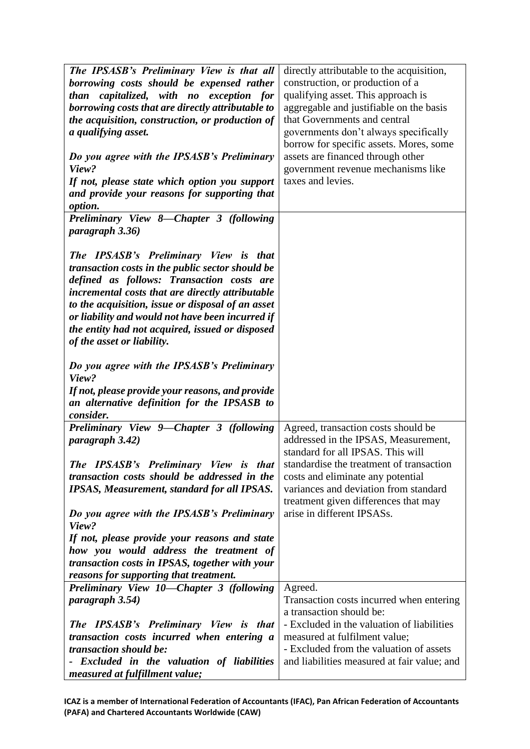| The IPSASB's Preliminary View is that all          | directly attributable to the acquisition,   |
|----------------------------------------------------|---------------------------------------------|
| borrowing costs should be expensed rather          | construction, or production of a            |
|                                                    |                                             |
| capitalized, with no exception for<br>than         | qualifying asset. This approach is          |
| borrowing costs that are directly attributable to  | aggregable and justifiable on the basis     |
| the acquisition, construction, or production of    | that Governments and central                |
| a qualifying asset.                                | governments don't always specifically       |
|                                                    | borrow for specific assets. Mores, some     |
| Do you agree with the IPSASB's Preliminary         | assets are financed through other           |
| View?                                              | government revenue mechanisms like          |
| If not, please state which option you support      | taxes and levies.                           |
| and provide your reasons for supporting that       |                                             |
| option.                                            |                                             |
| Preliminary View 8-Chapter 3 (following            |                                             |
| paragraph 3.36)                                    |                                             |
|                                                    |                                             |
| The IPSASB's Preliminary View is that              |                                             |
| transaction costs in the public sector should be   |                                             |
| defined as follows: Transaction costs are          |                                             |
| incremental costs that are directly attributable   |                                             |
|                                                    |                                             |
| to the acquisition, issue or disposal of an asset  |                                             |
| or liability and would not have been incurred if   |                                             |
| the entity had not acquired, issued or disposed    |                                             |
| of the asset or liability.                         |                                             |
|                                                    |                                             |
| Do you agree with the IPSASB's Preliminary         |                                             |
| View?                                              |                                             |
| If not, please provide your reasons, and provide   |                                             |
| an alternative definition for the IPSASB to        |                                             |
| consider.                                          |                                             |
| Preliminary View 9—Chapter 3 (following            | Agreed, transaction costs should be         |
| paragraph 3.42)                                    | addressed in the IPSAS, Measurement,        |
|                                                    | standard for all IPSAS. This will           |
| The IPSASB's Preliminary View is that              | standardise the treatment of transaction    |
| transaction costs should be addressed in the       | costs and eliminate any potential           |
| <b>IPSAS, Measurement, standard for all IPSAS.</b> | variances and deviation from standard       |
|                                                    | treatment given differences that may        |
| Do you agree with the IPSASB's Preliminary         | arise in different IPSASs.                  |
| View?                                              |                                             |
| If not, please provide your reasons and state      |                                             |
| how you would address the treatment of             |                                             |
| transaction costs in IPSAS, together with your     |                                             |
| reasons for supporting that treatment.             |                                             |
| Preliminary View 10-Chapter 3 (following           | Agreed.                                     |
| paragraph 3.54)                                    | Transaction costs incurred when entering    |
|                                                    | a transaction should be:                    |
|                                                    | - Excluded in the valuation of liabilities  |
| The IPSASB's Preliminary View is that              |                                             |
| transaction costs incurred when entering a         | measured at fulfilment value;               |
| <i>transaction should be:</i>                      | - Excluded from the valuation of assets     |
| - Excluded in the valuation of liabilities         | and liabilities measured at fair value; and |
| measured at fulfillment value;                     |                                             |

**ICAZ is a member of International Federation of Accountants (IFAC), Pan African Federation of Accountants (PAFA) and Chartered Accountants Worldwide (CAW)**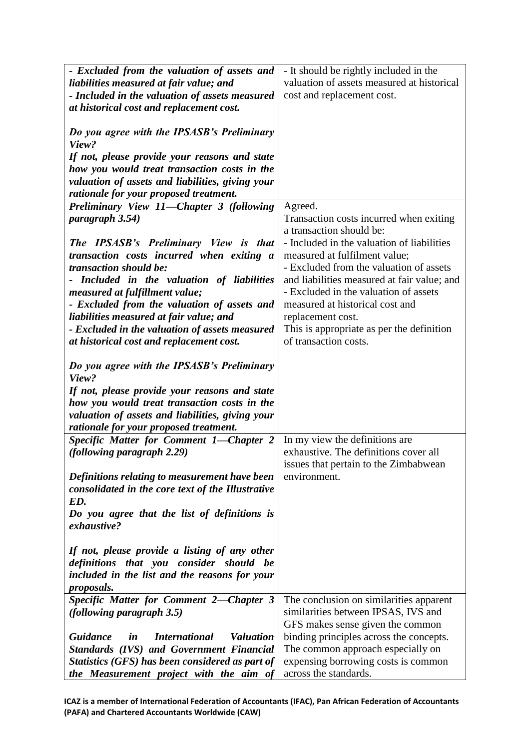| - Excluded from the valuation of assets and                       | - It should be rightly included in the      |
|-------------------------------------------------------------------|---------------------------------------------|
| liabilities measured at fair value; and                           | valuation of assets measured at historical  |
| - Included in the valuation of assets measured                    | cost and replacement cost.                  |
| at historical cost and replacement cost.                          |                                             |
|                                                                   |                                             |
|                                                                   |                                             |
| Do you agree with the IPSASB's Preliminary                        |                                             |
| View?                                                             |                                             |
| If not, please provide your reasons and state                     |                                             |
| how you would treat transaction costs in the                      |                                             |
| valuation of assets and liabilities, giving your                  |                                             |
| rationale for your proposed treatment.                            |                                             |
| Preliminary View 11-Chapter 3 (following                          | Agreed.                                     |
| paragraph 3.54)                                                   | Transaction costs incurred when exiting     |
|                                                                   | a transaction should be:                    |
| The IPSASB's Preliminary View is that                             | - Included in the valuation of liabilities  |
| transaction costs incurred when exiting a                         | measured at fulfilment value;               |
| <i>transaction should be:</i>                                     | - Excluded from the valuation of assets     |
| - Included in the valuation of liabilities                        | and liabilities measured at fair value; and |
| measured at fulfillment value;                                    | - Excluded in the valuation of assets       |
| - Excluded from the valuation of assets and                       | measured at historical cost and             |
| liabilities measured at fair value; and                           | replacement cost.                           |
| - Excluded in the valuation of assets measured                    | This is appropriate as per the definition   |
|                                                                   | of transaction costs.                       |
| at historical cost and replacement cost.                          |                                             |
|                                                                   |                                             |
| Do you agree with the IPSASB's Preliminary                        |                                             |
| View?                                                             |                                             |
| If not, please provide your reasons and state                     |                                             |
| how you would treat transaction costs in the                      |                                             |
| valuation of assets and liabilities, giving your                  |                                             |
| rationale for your proposed treatment.                            |                                             |
| Specific Matter for Comment 1-Chapter 2                           | In my view the definitions are              |
| <i>(following paragraph 2.29)</i>                                 | exhaustive. The definitions cover all       |
|                                                                   | issues that pertain to the Zimbabwean       |
| <b>Definitions relating to measurement have been</b>              | environment.                                |
| consolidated in the core text of the Illustrative                 |                                             |
| ED.                                                               |                                             |
| Do you agree that the list of definitions is                      |                                             |
| exhaustive?                                                       |                                             |
|                                                                   |                                             |
| If not, please provide a listing of any other                     |                                             |
| definitions that you consider should be                           |                                             |
| included in the list and the reasons for your                     |                                             |
| <i>proposals.</i>                                                 |                                             |
| Specific Matter for Comment 2-Chapter 3                           | The conclusion on similarities apparent     |
| <i>(following paragraph 3.5)</i>                                  | similarities between IPSAS, IVS and         |
|                                                                   | GFS makes sense given the common            |
| <b>Guidance</b><br><i>International</i><br><b>Valuation</b><br>in | binding principles across the concepts.     |
| <b>Standards (IVS) and Government Financial</b>                   |                                             |
|                                                                   | The common approach especially on           |
| Statistics (GFS) has been considered as part of                   | expensing borrowing costs is common         |
| the Measurement project with the aim of                           | across the standards.                       |